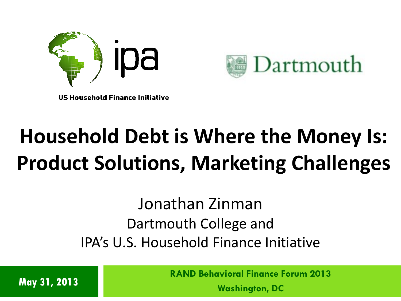



**US Household Finance Initiative** 

## **Household Debt is Where the Money Is: Product Solutions, Marketing Challenges**

Jonathan Zinman Dartmouth College and IPA's U.S. Household Finance Initiative

**May 31, 2013**

**RAND Behavioral Finance Forum 2013**

**Washington, DC**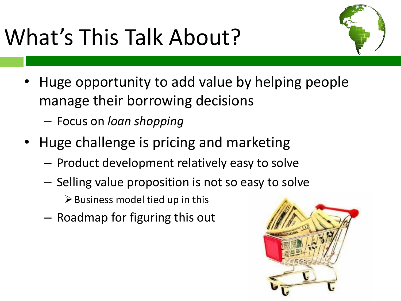# What's This Talk About?



- Huge opportunity to add value by helping people manage their borrowing decisions
	- Focus on *loan shopping*
- Huge challenge is pricing and marketing
	- Product development relatively easy to solve
	- Selling value proposition is not so easy to solve
		- $\triangleright$  Business model tied up in this
	- Roadmap for figuring this out

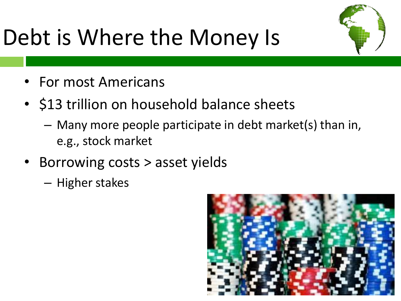## Debt is Where the Money Is



- For most Americans
- \$13 trillion on household balance sheets
	- Many more people participate in debt market(s) than in, e.g., stock market
- Borrowing costs > asset yields
	- Higher stakes

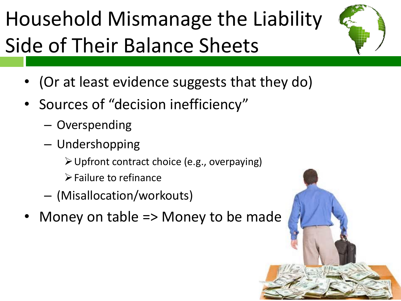## Household Mismanage the Liability Side of Their Balance Sheets



- (Or at least evidence suggests that they do)
- Sources of "decision inefficiency"
	- Overspending
	- Undershopping
		- Upfront contract choice (e.g., overpaying)
		- $\triangleright$  Failure to refinance
	- (Misallocation/workouts)
- Money on table => Money to be made

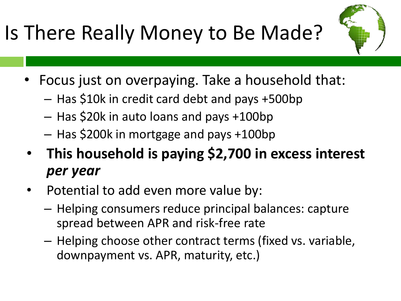Is There Really Money to Be Made?

- 
- Focus just on overpaying. Take a household that:
	- Has \$10k in credit card debt and pays +500bp
	- Has \$20k in auto loans and pays +100bp
	- Has \$200k in mortgage and pays +100bp
- **This household is paying \$2,700 in excess interest**  *per year*
- Potential to add even more value by:
	- Helping consumers reduce principal balances: capture spread between APR and risk-free rate
	- Helping choose other contract terms (fixed vs. variable, downpayment vs. APR, maturity, etc.)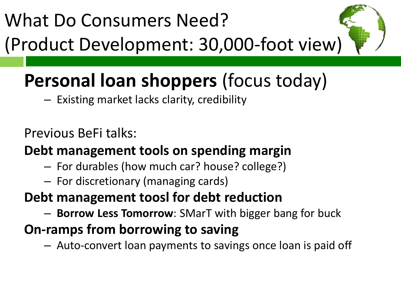## What Do Consumers Need? (Product Development: 30,000-foot view)



### **Personal loan shoppers** (focus today)

– Existing market lacks clarity, credibility

Previous BeFi talks:

**Debt management tools on spending margin**

- For durables (how much car? house? college?)
- For discretionary (managing cards)
- **Debt management toosl for debt reduction**
	- **Borrow Less Tomorrow**: SMarT with bigger bang for buck
- **On-ramps from borrowing to saving**

– Auto-convert loan payments to savings once loan is paid off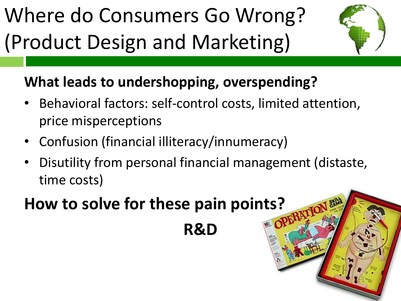Where do Consumers Go Wrong? (Product Design and Marketing)



#### **What leads to undershopping, overspending?**

- Behavioral factors: self-control costs, limited attention, price misperceptions
- Confusion (financial illiteracy/innumeracy)
- Disutility from personal financial management (distaste, time costs)

#### **How to solve for these pain points?**

**R&D**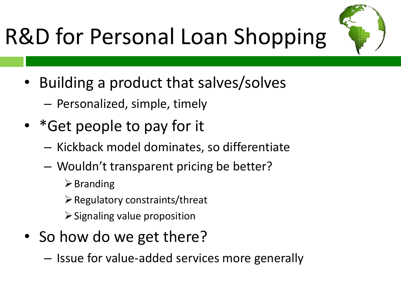



- Personalized, simple, timely
- \* Get people to pay for it
	- Kickback model dominates, so differentiate
	- Wouldn't transparent pricing be better?
		- $\triangleright$  Branding
		- $\triangleright$  Regulatory constraints/threat
		- $\triangleright$  Signaling value proposition
- So how do we get there?
	- Issue for value-added services more generally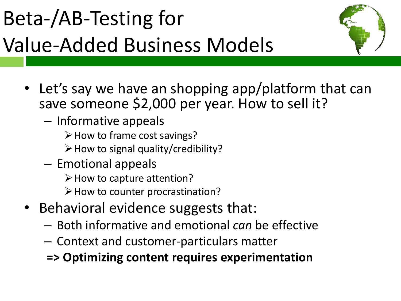# Beta-/AB-Testing for Value-Added Business Models



- Let's say we have an shopping app/platform that can save someone \$2,000 per year. How to sell it?
	- Informative appeals
		- $\triangleright$  How to frame cost savings?
		- $\triangleright$  How to signal quality/credibility?
	- Emotional appeals
		- $\triangleright$  How to capture attention?
		- $\triangleright$  How to counter procrastination?
- Behavioral evidence suggests that:
	- Both informative and emotional *can* be effective
	- Context and customer-particulars matter

**=> Optimizing content requires experimentation**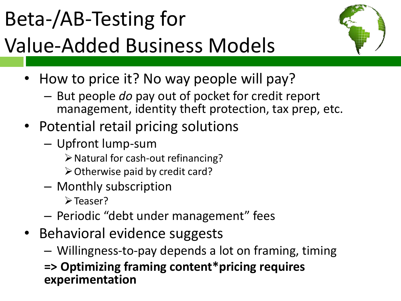## Beta-/AB-Testing for Value-Added Business Models



- How to price it? No way people will pay?
	- But people *do* pay out of pocket for credit report management, identity theft protection, tax prep, etc.
- Potential retail pricing solutions
	- Upfront lump-sum
		- $\triangleright$  Natural for cash-out refinancing?
		- $\triangleright$  Otherwise paid by credit card?
	- Monthly subscription
		- **≻Teaser?**
	- Periodic "debt under management" fees
- Behavioral evidence suggests
	- Willingness-to-pay depends a lot on framing, timing
	- **=> Optimizing framing content\*pricing requires experimentation**